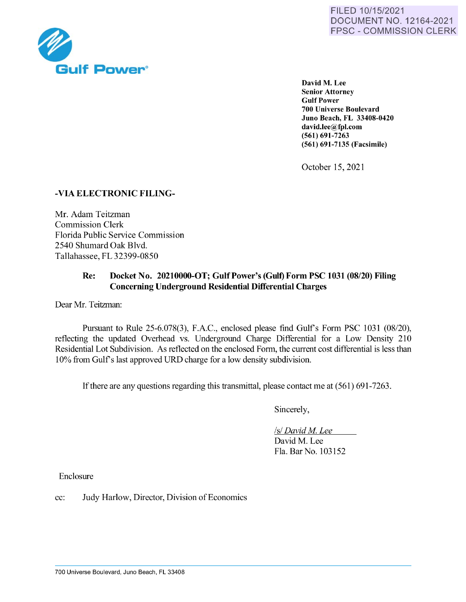

David M. Lee **Senior Attorney Gulf Power 700 Universe Boulevard Juno Beach, FL 33408-0420 david.Iee@fpl.com (561) 691-7263 (561) 691-7135 (Facsimile)** 

October 15, 2021

## **-VIA ELECTRONIC FILING-**

Mr. Adam Teitzman Commission Clerk Florida Public Service Commission 2540 Shumard Oak Blvd. Tallahassee, FL 32399-0850

## **Re: Docket No. 20210000-OT; Gulf Power's (Gulf) Form PSC 1031 (08/20) Filing Concerning Underground Residential Differential Charges**

Dear Mr. Teitzman:

Pursuant to Rule 25-6.078(3), F.A.C., enclosed please find Gulf's Form PSC 1031 (08/20), reflecting the updated Overhead vs. Underground Charge Differential for a Low Density 210 Residential Lot Subdivision. As reflected on the enclosed Form, the current cost differential is less than 10% from Gulfs last approved URD charge for a low density subdivision.

If there are any questions regarding this transmittal, please contact me at (561) 691-7263.

Sincerely,

*Isl David M. Lee* 

David M. Lee Fla. Bar No. 103152

Enclosure

cc: Judy Harlow, Director, Division of Economics